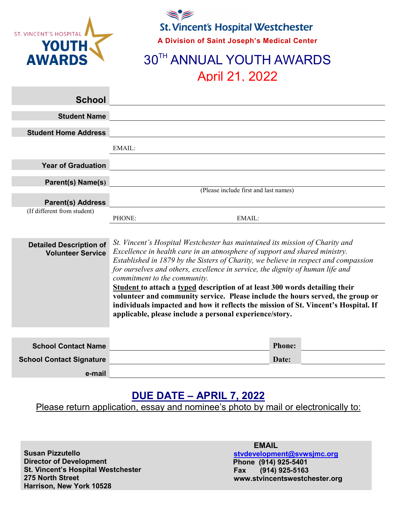

**St. Vincent's Hospital Westchester A Division of Saint Joseph's Medical Center**

# **30TH ANNUAL YOUTH AWARDS** April 21, 2022

| <b>School</b>                                              |                                                                                                                                                                                                                                                                                                                                                                                                                                                                                                                                                                                                                                                                                       |  |
|------------------------------------------------------------|---------------------------------------------------------------------------------------------------------------------------------------------------------------------------------------------------------------------------------------------------------------------------------------------------------------------------------------------------------------------------------------------------------------------------------------------------------------------------------------------------------------------------------------------------------------------------------------------------------------------------------------------------------------------------------------|--|
| <b>Student Name</b>                                        |                                                                                                                                                                                                                                                                                                                                                                                                                                                                                                                                                                                                                                                                                       |  |
| <b>Student Home Address</b>                                |                                                                                                                                                                                                                                                                                                                                                                                                                                                                                                                                                                                                                                                                                       |  |
|                                                            | EMAIL:                                                                                                                                                                                                                                                                                                                                                                                                                                                                                                                                                                                                                                                                                |  |
| <b>Year of Graduation</b>                                  |                                                                                                                                                                                                                                                                                                                                                                                                                                                                                                                                                                                                                                                                                       |  |
| Parent(s) Name(s)                                          |                                                                                                                                                                                                                                                                                                                                                                                                                                                                                                                                                                                                                                                                                       |  |
|                                                            | (Please include first and last names)                                                                                                                                                                                                                                                                                                                                                                                                                                                                                                                                                                                                                                                 |  |
| <b>Parent(s) Address</b>                                   |                                                                                                                                                                                                                                                                                                                                                                                                                                                                                                                                                                                                                                                                                       |  |
| (If different from student)                                | PHONE:<br>EMAIL:                                                                                                                                                                                                                                                                                                                                                                                                                                                                                                                                                                                                                                                                      |  |
| <b>Detailed Description of</b><br><b>Volunteer Service</b> | St. Vincent's Hospital Westchester has maintained its mission of Charity and<br>Excellence in health care in an atmosphere of support and shared ministry.<br>Established in 1879 by the Sisters of Charity, we believe in respect and compassion<br>for ourselves and others, excellence in service, the dignity of human life and<br>commitment to the community.<br>Student to attach a typed description of at least 300 words detailing their<br>volunteer and community service. Please include the hours served, the group or<br>individuals impacted and how it reflects the mission of St. Vincent's Hospital. If<br>applicable, please include a personal experience/story. |  |

| <b>School Contact Name</b>      | <b>Phone:</b> |
|---------------------------------|---------------|
| <b>School Contact Signature</b> | Date:         |
| e-mail                          |               |

### **DUE DATE – APRIL 7, 2022**

Please return application, essay and nominee's photo by mail or electronically to:

**Susan Pizzutello Director of Development St. Vincent's Hospital Westchester 275 North Street Harrison, New York 10528**

#### **EMAIL**

**[stvdevelopment@svwsjmc.org](mailto:stvdevelopment@svwsjmc.org) Phone (914) 925-5401 Fax (914) 925-5163 www.stvincentswestchester.org**